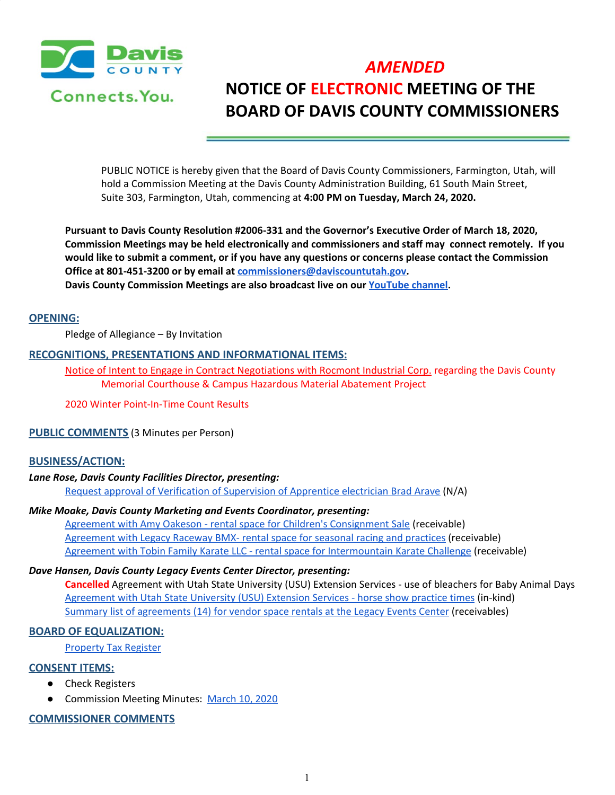

# *AMENDED* **NOTICE OF ELECTRONIC MEETING OF THE BOARD OF DAVIS COUNTY COMMISSIONERS**

PUBLIC NOTICE is hereby given that the Board of Davis County Commissioners, Farmington, Utah, will hold a Commission Meeting at the Davis County Administration Building, 61 South Main Street, Suite 303, Farmington, Utah, commencing at **4:00 PM on Tuesday, March 24, 2020.**

**Pursuant to Davis County Resolution #2006-331 and the Governor's Executive Order of March 18, 2020, Commission Meetings may be held electronically and commissioners and staff may connect remotely. If you** would like to submit a comment, or if you have any questions or concerns please contact the Commission **Office at 801-451-3200 or by email at [commissioners@daviscountutah.gov.](mailto:commissioners@daviscountutah.gov)**

**Davis County Commission Meetings are also broadcast live on our [YouTube](https://www.youtube.com/results?sp=mAEB&search_query=davis+county+government) channel.**

#### **OPENING:**

Pledge of Allegiance – By Invitation

#### **RECOGNITIONS, PRESENTATIONS AND INFORMATIONAL ITEMS:**

Notice of Intent to Engage in Contract [Negotiations](https://drive.google.com/a/co.davis.ut.us/file/d/1s4UpJ0M56Kgvskb8JWHyHfIiT0N8Dfc9/view?usp=drivesdk) with Rocmont Industrial Corp. regarding the Davis County Memorial Courthouse & Campus Hazardous Material Abatement Projec[t](https://drive.google.com/a/co.davis.ut.us/file/d/1s4UpJ0M56Kgvskb8JWHyHfIiT0N8Dfc9/view?usp=drivesdk)

2020 Winter Point-In-Time Count Results

#### **PUBLIC COMMENTS** (3 Minutes per Person)

#### **BUSINESS/ACTION:**

#### *Lane Rose, Davis County Facilities Director, presenting:*

Request approval of Verification of [Supervision](https://drive.google.com/a/co.davis.ut.us/file/d/1ga40hy2rRS84MhoR2kg7s0obs4z4Vny2/view?usp=drivesdk) of Apprentice electrician Brad Arave (N/A)

#### *Mike Moake, Davis County Marketing and Events Coordinator, presenting:*

Agreement with Amy Oakeson - rental space for Children's [Consignment](https://drive.google.com/a/co.davis.ut.us/file/d/1NDn85mXRUBRUNxhCG22ei59e0NphCghB/view?usp=drivesdk) Sale (receivable) [Agreement](https://drive.google.com/a/co.davis.ut.us/file/d/115aS4tnwKICWRGOvseCVjlYqVy5utHPg/view?usp=drivesdk) with Legacy Raceway BMX- rental space for seasonal racing and practices (receivable) Agreement with Tobin Family Karate LLC - rental space for [Intermountain](https://drive.google.com/a/co.davis.ut.us/file/d/1CyrlcMTlcxODrWZ-b4cYJho-1IQJCuGD/view?usp=drivesdk) Karate Challenge (receivable)

#### *Dave Hansen, Davis County Legacy Events Center Director, presenting:*

**Cancelled** Agreement with Utah State University (USU) Extension Services - use of bleachers for Baby Animal Days [Agreement](https://drive.google.com/a/co.davis.ut.us/file/d/1_AWy1UeLiDQ2zvq7-s7rWM8tR6-RU1tg/view?usp=drivesdk) with Utah State University (USU) Extension Services - horse show practice times (in-kind) Summary list of [agreements](https://drive.google.com/a/co.davis.ut.us/file/d/1NlQKMekP0I7qf3SjxZG-eECZXL-hGX_h/view?usp=drivesdk) (14) for vendor space rentals at the Legacy Events Center (receivables)

### **BOARD OF EQUALIZATION:**

[Property](https://drive.google.com/a/co.davis.ut.us/file/d/16dwniP3l-QUn2sGMsA3PklOQOeirE17m/view?usp=drivesdk) Tax Register

#### **CONSENT ITEMS:**

- Check Registers
- Commission Meeting Minutes: [March](https://drive.google.com/a/co.davis.ut.us/file/d/1bcXYZFkqP-_PBYeza-bwV2mTTB_4RrWU/view?usp=drivesdk) 10, 2020

## **COMMISSIONER COMMENTS**